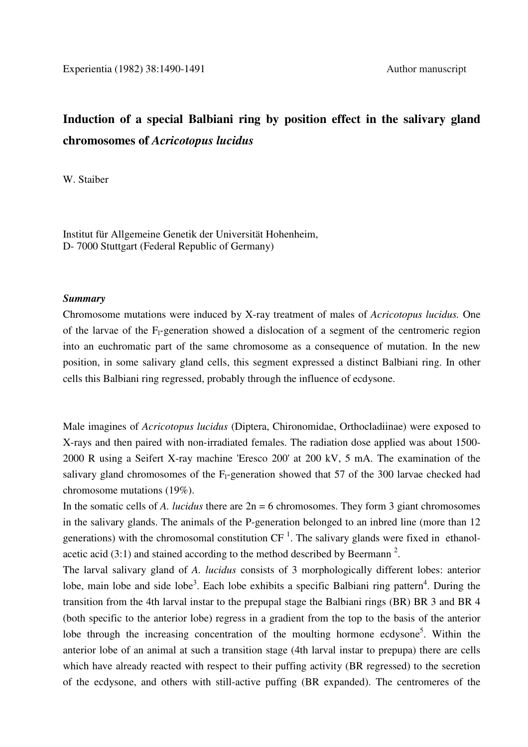## **Induction of a special Balbiani ring by position effect in the salivary gland chromosomes of** *Acricotopus lucidus*

W. Staiber

Institut für Allgemeine Genetik der Universität Hohenheim, D- 7000 Stuttgart (Federal Republic of Germany)

## *Summary*

Chromosome mutations were induced by X-ray treatment of males of *Acricotopus lucidus.* One of the larvae of the  $F_1$ -generation showed a dislocation of a segment of the centromeric region into an euchromatic part of the same chromosome as a consequence of mutation. In the new position, in some salivary gland cells, this segment expressed a distinct Balbiani ring. In other cells this Balbiani ring regressed, probably through the influence of ecdysone.

Male imagines of *Acricotopus lucidus* (Diptera, Chironomidae, Orthocladiinae) were exposed to X-rays and then paired with non-irradiated females. The radiation dose applied was about 1500- 2000 R using a Seifert X-ray machine 'Eresco 200' at 200 kV, 5 mA. The examination of the salivary gland chromosomes of the  $F_1$ -generation showed that 57 of the 300 larvae checked had chromosome mutations (19%).

In the somatic cells of *A. lucidus* there are 2n = 6 chromosomes. They form 3 giant chromosomes in the salivary glands. The animals of the P-generation belonged to an inbred line (more than 12 generations) with the chromosomal constitution  $CF^{-1}$ . The salivary glands were fixed in ethanolacetic acid  $(3:1)$  and stained according to the method described by Beermann<sup>2</sup>.

The larval salivary gland of *A. lucidus* consists of 3 morphologically different lobes: anterior lobe, main lobe and side lobe<sup>3</sup>. Each lobe exhibits a specific Balbiani ring pattern<sup>4</sup>. During the transition from the 4th larval instar to the prepupal stage the Balbiani rings (BR) BR 3 and BR 4 (both specific to the anterior lobe) regress in a gradient from the top to the basis of the anterior lobe through the increasing concentration of the moulting hormone ecdysone<sup>5</sup>. Within the anterior lobe of an animal at such a transition stage (4th larval instar to prepupa) there are cells which have already reacted with respect to their puffing activity (BR regressed) to the secretion of the ecdysone, and others with still-active puffing (BR expanded). The centromeres of the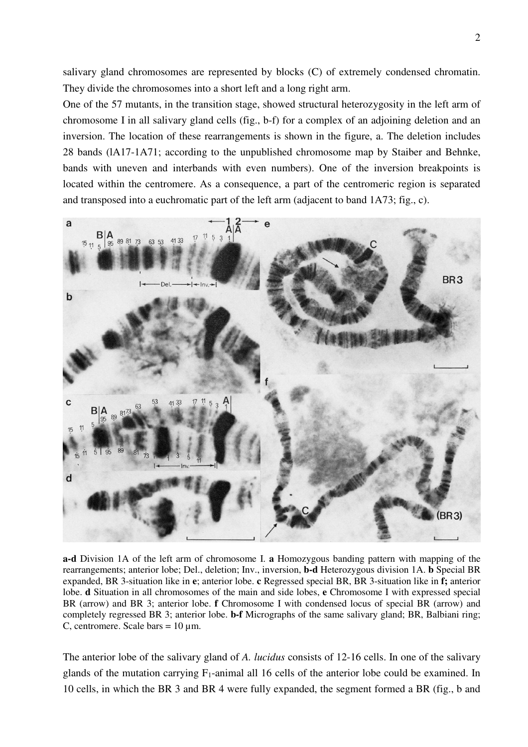salivary gland chromosomes are represented by blocks (C) of extremely condensed chromatin. They divide the chromosomes into a short left and a long right arm.

One of the 57 mutants, in the transition stage, showed structural heterozygosity in the left arm of chromosome I in all salivary gland cells (fig., b-f) for a complex of an adjoining deletion and an inversion. The location of these rearrangements is shown in the figure, a. The deletion includes 28 bands (lA17-1A71; according to the unpublished chromosome map by Staiber and Behnke, bands with uneven and interbands with even numbers). One of the inversion breakpoints is located within the centromere. As a consequence, a part of the centromeric region is separated and transposed into a euchromatic part of the left arm (adjacent to band 1A73; fig., c).



**a-d** Division 1A of the left arm of chromosome I. **a** Homozygous banding pattern with mapping of the rearrangements; anterior lobe; Del., deletion; Inv., inversion, **b-d** Heterozygous division 1A. **b** Special BR expanded, BR 3-situation like in **e**; anterior lobe. **c** Regressed special BR, BR 3-situation like in **f;** anterior lobe. **d** Situation in all chromosomes of the main and side lobes, **e** Chromosome I with expressed special BR (arrow) and BR 3; anterior lobe. **f** Chromosome I with condensed locus of special BR (arrow) and completely regressed BR 3; anterior lobe. **b-f** Micrographs of the same salivary gland; BR, Balbiani ring; C, centromere. Scale bars =  $10 \mu$ m.

The anterior lobe of the salivary gland of *A. lucidus* consists of 12-16 cells. In one of the salivary glands of the mutation carrying  $F_1$ -animal all 16 cells of the anterior lobe could be examined. In 10 cells, in which the BR 3 and BR 4 were fully expanded, the segment formed a BR (fig., b and